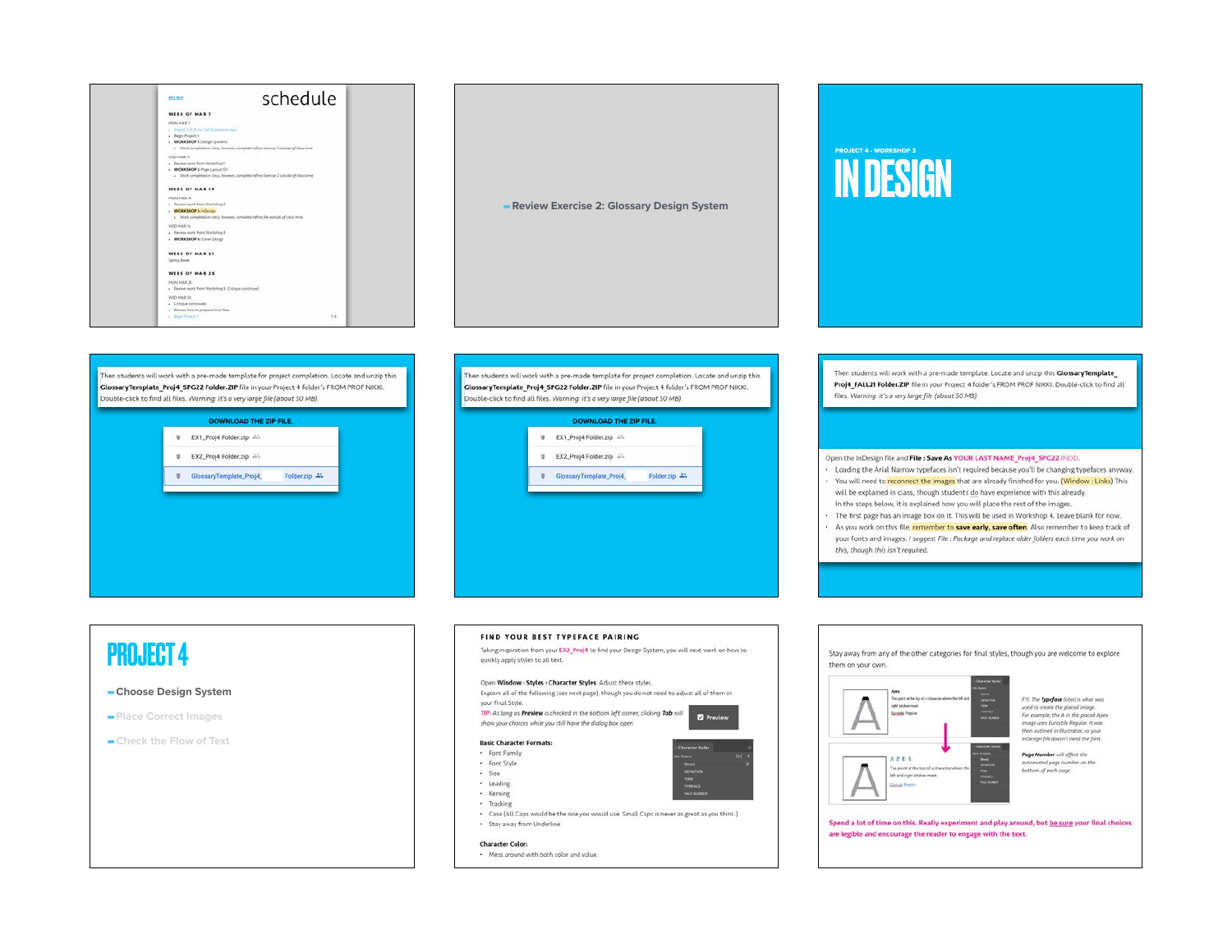





Then students will work with a pre-made template for project completion. Locate and unzip this GlossaryTemplate\_Proj4\_SPG22 Folder.ZIP file in your Project 4 folder's FROM PROF NIKKI. Double-click to find all files. Warning: it's a very large file (about 50 MB).

| ÷<br>EX1_Proj4 Folder.zip A1                  |  | <b>DOWNLOAD THE ZIP FILE.</b> |                   |
|-----------------------------------------------|--|-------------------------------|-------------------|
|                                               |  |                               |                   |
| EX2_Proj4 Folder.zip AS                       |  |                               | $\overline{\Psi}$ |
| U.<br>GlossaryTemplate_Proj4<br>Folder.zip 4% |  |                               |                   |



Then students will work with a pre-made template. Locate and unzip this GlossaryTemplate Proj4\_FALL21 Folder.ZIP file in your Project 4 folder's FROM PROF NIKKI. Double-click to find all files. Warning: it's a very large file (about 50 MB).

### Open the InDesign file and File : Save As YOUR LAST NAME Proj4 SPG22.INDD.

. Loading the Arial Narrow typefaces isn't required because you'll be changing typefaces anyway.

- . You will need to reconnect the images that are already finished for you. (Window: Links) This will be explained in class, though students do have experience with this already. In the steps below, it is explained how you will place the rest of the images.
- · The first page has an image box on it. This will be used in Workshop 4. Leave blank for now.
- . As you work on this file, remember to save early, save often. Also remember to keep track of your fonts and images. I suggest File : Package and replace older folders each time you work on this, though this isn't required.

# **PROJECT 4**

### -Choose Design System

- -Place Correct Images
- -Check the Flow of Text

### FIND YOUR BEST TYPEFACE PAIRING

Taking inspiration from your EX2\_Proj4 to find your Design System, you will next work on how to quickly apply styles to all text.

### Open Window : Styles : Character Styles. Adjust these styles.

Explore all of the following (see next page), though you do not need to adjust all of them in your final Style TIP: As long as Preview is checked in the bottom left corner, clicking Tab will

**Preview** show your choices while you still have the dialog box open.

### **Basic Character Formats:**

- · Font Family · Font Style
- 
- · Size · Leading
- · Kerning
- · Tracking
- . Case (All Caps would be the one you would use. Small Caps is never as great as you think.)
- · Stay away from Underline

### **Character Color:**

. Mess around with both color and value.



Spend a lot of time on this. Really experiment and play around, but be sure your final choices are legible and encourage the reader to engage with the text.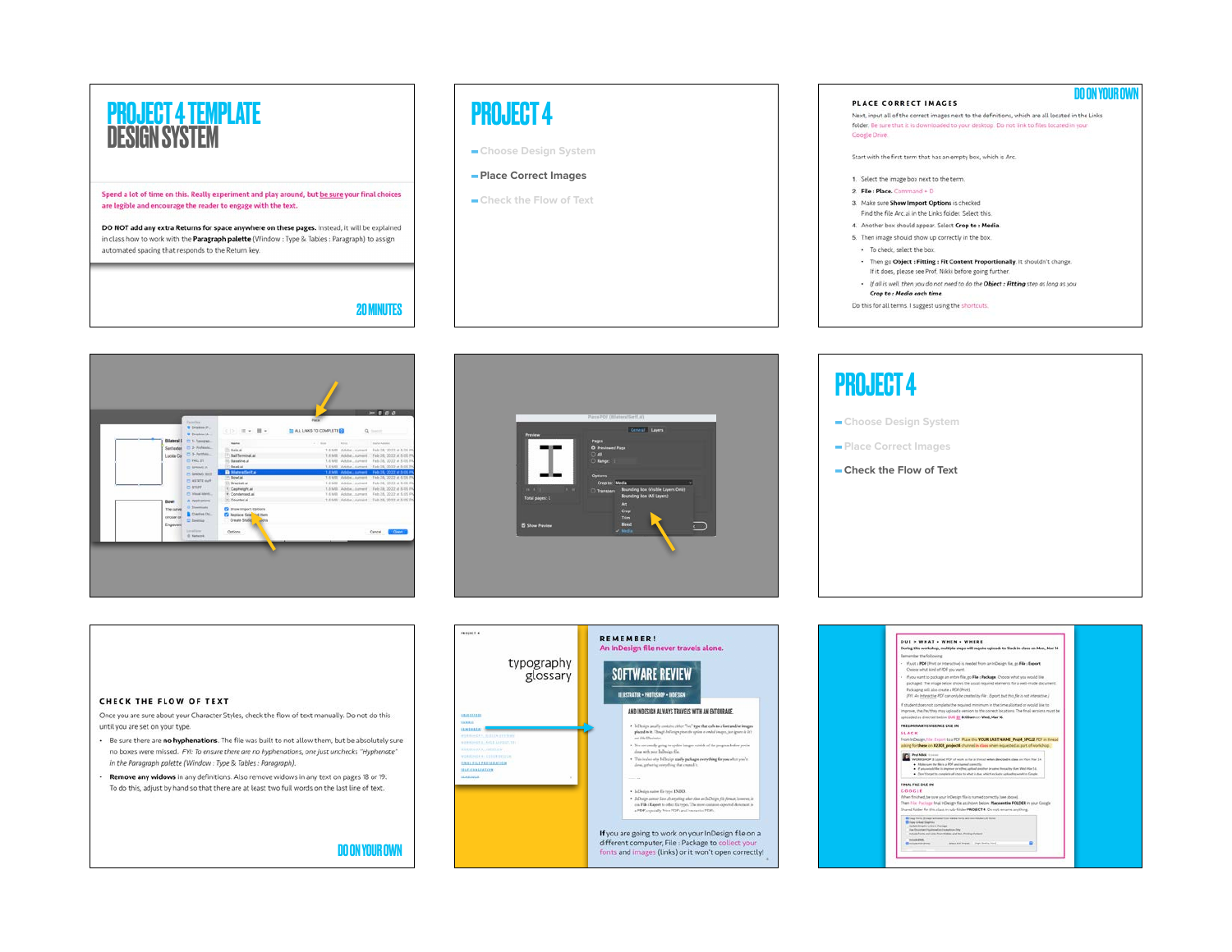

## PROJECT 4

**-Choose Design System**

### **-Place Correct Images**

**-Check the Flow of Text**







## **-Choose Design System -Place Correct Images** PROJECT 4

**-Check the Flow of Text**

### CHECK THE FLOW OF TEXT

Once you are sure about your Character Styles, check the flow of text manually. Do not do this until you are set on your type.

- . Be sure there are no hyphenations. The file was built to not allow them, but be absolutely sure no boxes were missed. FYI: To ensure there are no hyphenations, one just unchecks "Hyphenate" in the Paragraph palette (Window: Type & Tables: Paragraph).
- Remove any widows in any definitions. Also remove widows in any text on pages 18 or 19. To do this, adjust by hand so that there are at least two full words on the last line of text.

DO ON YOUR OWN



| <b>DUE &gt; WHAT + WHEN + WHERE</b>                                                                                                                                                                                                                                                                               |                                                                                                                                                                                                                                                                                           |  |
|-------------------------------------------------------------------------------------------------------------------------------------------------------------------------------------------------------------------------------------------------------------------------------------------------------------------|-------------------------------------------------------------------------------------------------------------------------------------------------------------------------------------------------------------------------------------------------------------------------------------------|--|
|                                                                                                                                                                                                                                                                                                                   | During this workshop, multiple steps will require uploads to Slack in class on Mon, Mar M.                                                                                                                                                                                                |  |
| Barnenber the following                                                                                                                                                                                                                                                                                           |                                                                                                                                                                                                                                                                                           |  |
| Choose what kind of PDF you want.                                                                                                                                                                                                                                                                                 | - If just a PDF (Fret or interactive) is needed from an inDesign file, go File : Export.                                                                                                                                                                                                  |  |
| Fackaging sell also create a PDF (Print).                                                                                                                                                                                                                                                                         | . If you want to package an entire file, go File : Package. Choose what you would like.<br>packaged. The image below choivs the usual required elements for a well-made document.<br>(FII: An Interactive FDF can only be created by File : Export, but this file is not interactive.)    |  |
| upinaded as directed below DUI 27 8:00am on Wed, Mar M.                                                                                                                                                                                                                                                           | If student does not complete the required minimum in the time pliothed or would like to<br>improve, she he has they may upload a version to the correct locations. The final versions must be                                                                                             |  |
| PRELIMINARY EVIDENCE DUE IN                                                                                                                                                                                                                                                                                       |                                                                                                                                                                                                                                                                                           |  |
| <b>SLACK</b>                                                                                                                                                                                                                                                                                                      | From InDesign, File: Export to a PDF Place this YOUR LAST NAME Proid. SPC22 FDF in thread.<br>whing for these on #2303 project4 channel in class when requested as part of workshop."                                                                                                     |  |
| <b>Franklin Electron</b><br>. Make sure the file is a FOF and turned contents.                                                                                                                                                                                                                                    | WORKEROP 3: Listoad PCF of work on fur in throad when pleasted in class on Mon Mar 14.<br>. If you would like its improve or refine, satisal doubler in same throughly flant Wed Mar 34.<br>. (Don't locate to complete all steps to what is due, which includes uploading work to Groupe |  |
| <b>FINAL FILE DUE IN</b>                                                                                                                                                                                                                                                                                          |                                                                                                                                                                                                                                                                                           |  |
| COOCLE                                                                                                                                                                                                                                                                                                            |                                                                                                                                                                                                                                                                                           |  |
|                                                                                                                                                                                                                                                                                                                   | When finished, be sure your inDesign file is named correctly tise above).                                                                                                                                                                                                                 |  |
|                                                                                                                                                                                                                                                                                                                   | Then His Package final InDesign file as shown below Place entire FOLDER in your Cougle                                                                                                                                                                                                    |  |
|                                                                                                                                                                                                                                                                                                                   | Shared fisider for this plans in sub-fisider PROBECT 4. Do not rename anything.                                                                                                                                                                                                           |  |
| E Togg Forts Except activenet from Additions and completed CAT forms<br><b>ED Crops Limbar Greenway</b><br><b>Under Impha Lines in Persons</b><br><b>May Resistant Hughester Reservoir Ref.</b><br>Include Form and Links From Middel and Not-Printing Earland<br><b>WOOD PMC</b><br><b>B</b> witness more press. | Select PDF Present   Image Seattle Word                                                                                                                                                                                                                                                   |  |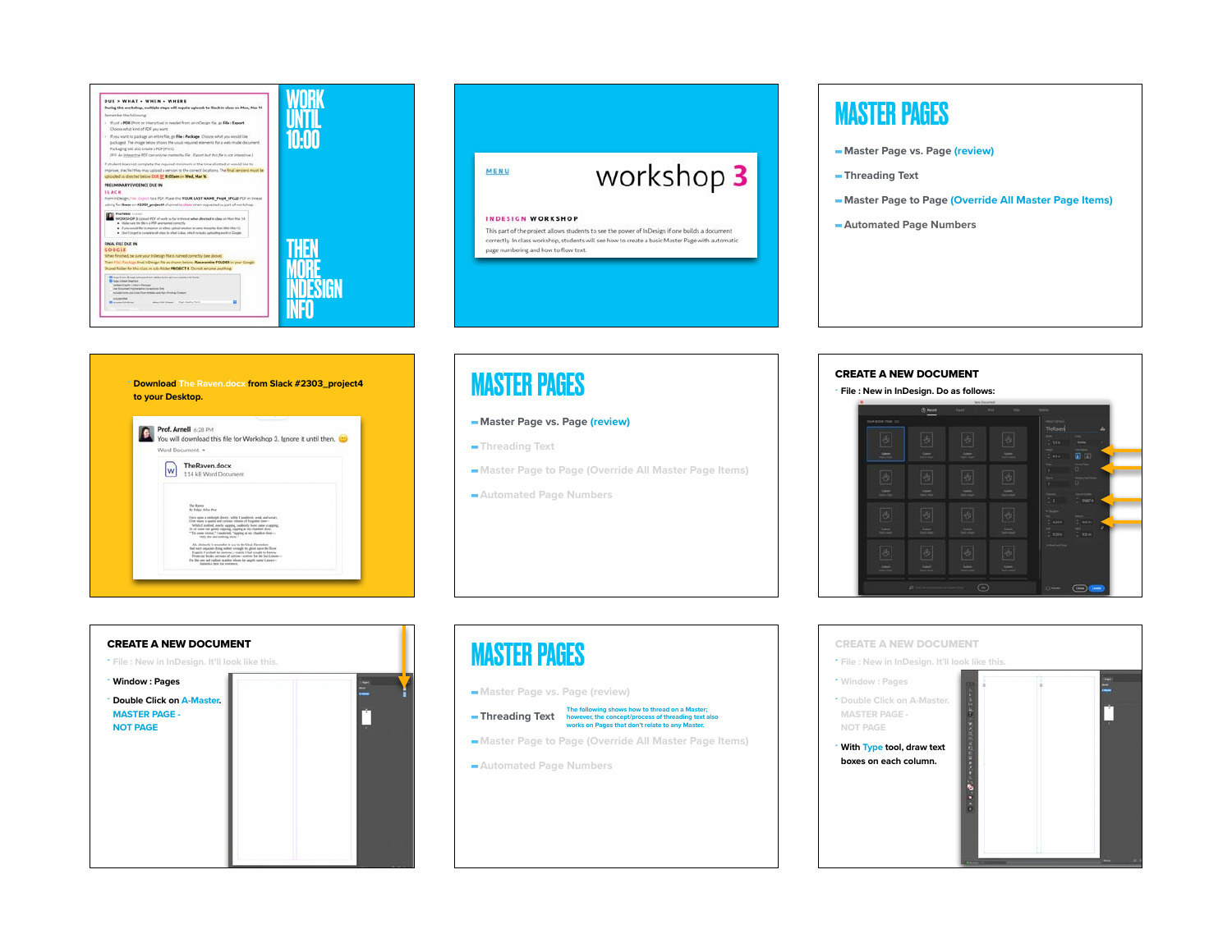



## MASTER PAGES

- **-Master Page vs. Page (review)**
- **-Threading Text**
- **-Master Page to Page (Override All Master Page Items)**
- **-Automated Page Numbers**



## **MASTER PAGES** CREATE A NEW DOCUMENT

### **-Master Page vs. Page (review)**

- **-Threading Text**
- **-Master Page to Page (Override All Master Page Items)**
- **-Automated Page Numbers**

# CREATE A NEW DOCUMENT **- File : New in InDesign. It'll look like this. - Window : Pages - Double Click on A-Master. MASTER PAGE - NOT PAGE**

## MASTER PAGES

## **-Threading Text The following shows how to thread on a Master; however, the concept/process of threading text also works on Pages that don't relate to any Master.**

- **-Master Page to Page (Override All Master Page Items)**
- **-Automated Page Numbers**

# **- File : New in InDesign. Do as follows:**  $\overline{\mathbf{H}}$  in  $-7 - 2$  $\bigcirc$



**-Master Page vs. Page (review)**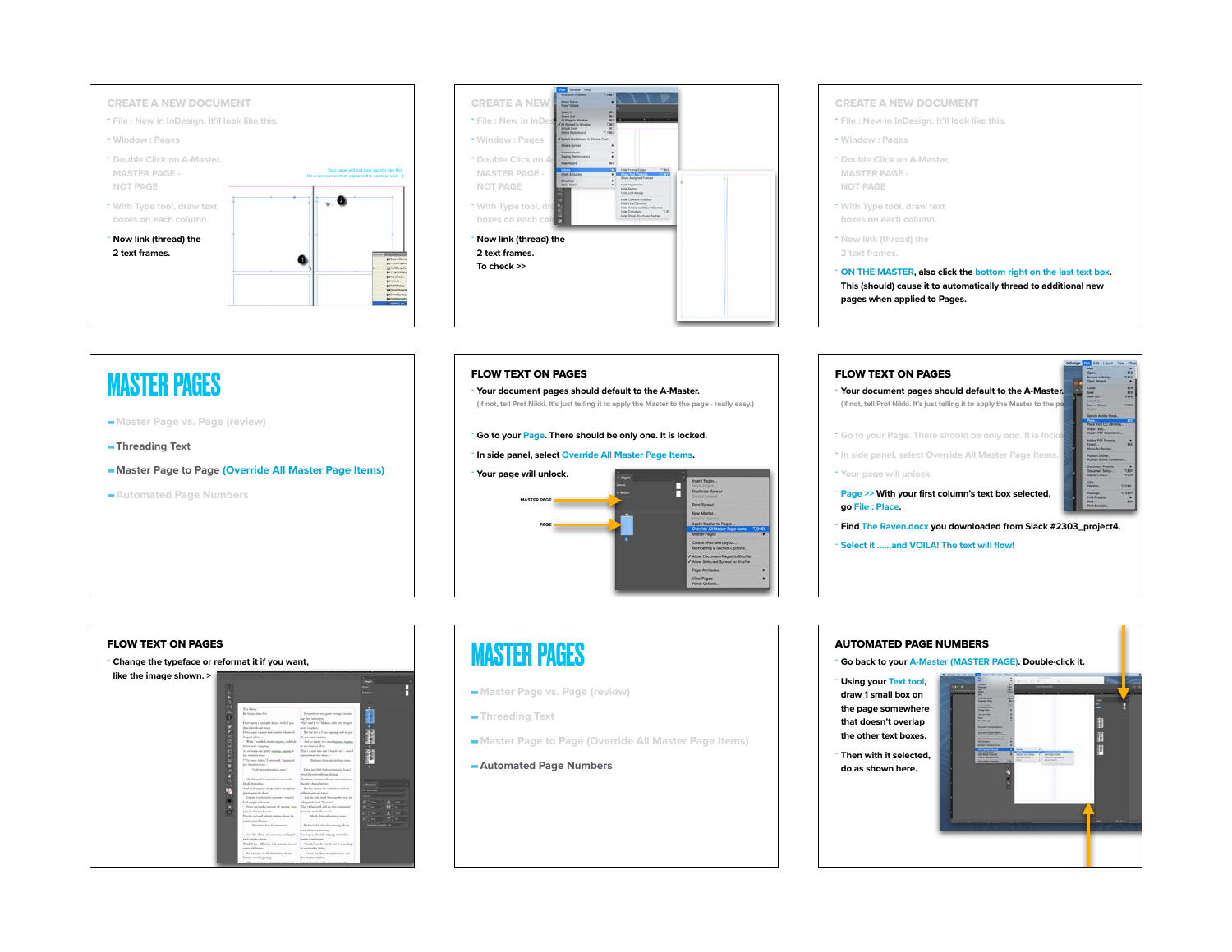



## MASTER PAGES FLOW TEXT ON PAGES

- **-Master Page vs. Page (review)**
- **-Threading Text**
- **-Master Page to Page (Override All Master Page Items)**
- **-Automated Page Numbers**

**- Your document pages should default to the A-Master.** 

**(If not, tell Prof Nikki. It's just telling it to apply the Master to the page - really easy.)** 

### **- Go to your Page. There should be only one. It is locked.**

### **- In side panel, select Override All Master Page Items.**



### CREATE A NEW DOCUMENT

- **- File : New in InDesign. It'll look like this.**
- **- Window : Pages**
- **- Double Click on A-Master. MASTER PAGE - NOT PAGE**
- **- With Type tool, draw text boxes on each column.**
- **- Now link (thread) the 2 text frames.**

**- ON THE MASTER, also click the bottom right on the last text box. This (should) cause it to automatically thread to additional new pages when applied to Pages.**





- **-Master Page vs. Page (review)**
- **-Threading Text**
- **-Master Page to Page (Override All Master Page Items)**

### **-Automated Page Numbers**